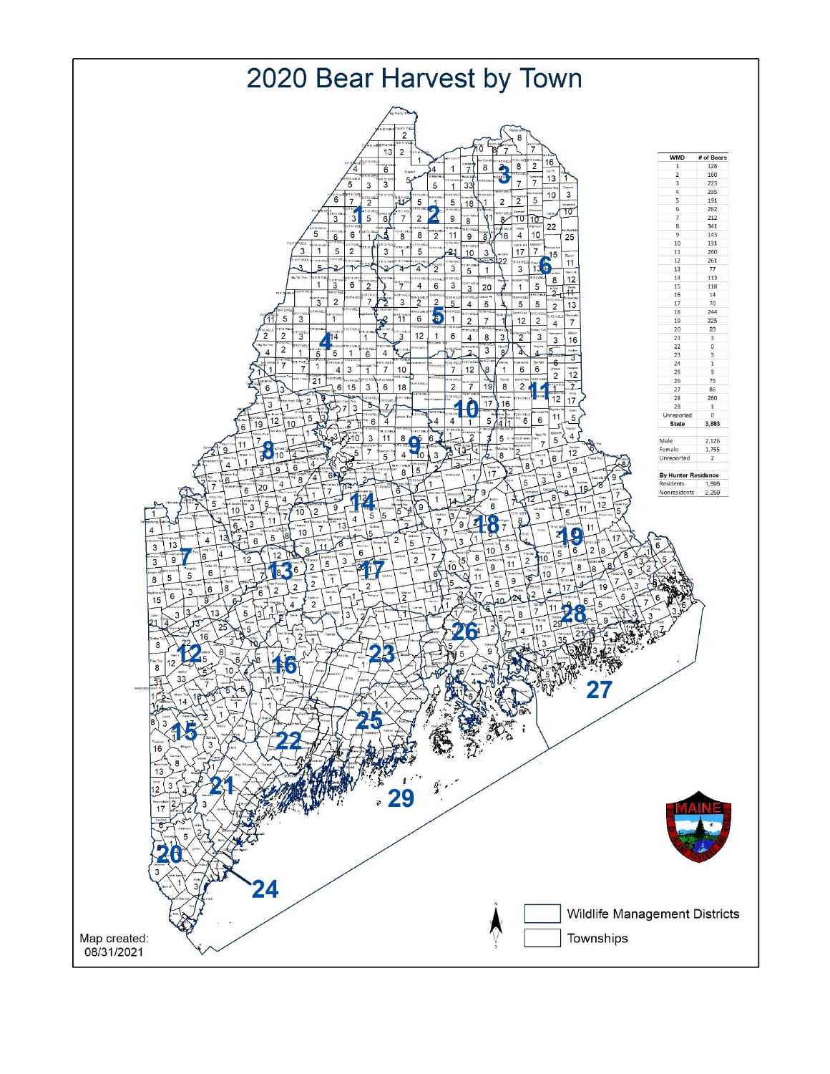